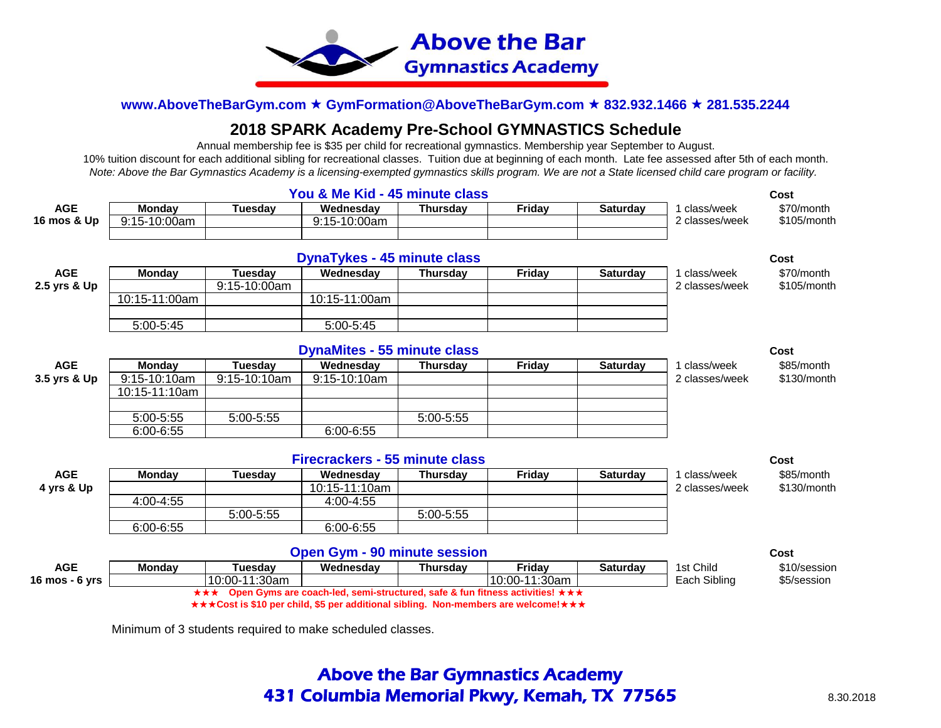

# **2018 SPARK Academy Pre-School GYMNASTICS Schedule**

 Annual membership fee is \$35 per child for recreational gymnastics. Membership year September to August. 10% tuition discount for each additional sibling for recreational classes. Tuition due at beginning of each month. Late fee assessed after 5th of each month. *Note: Above the Bar Gymnastics Academy is a licensing-exempted gymnastics skills program. We are not a State licensed child care program or facility.* 

|                |               |                | You & Me Kid - 45 minute class        |                 |                                                                                    |                 |                | Cost          |
|----------------|---------------|----------------|---------------------------------------|-----------------|------------------------------------------------------------------------------------|-----------------|----------------|---------------|
| <b>AGE</b>     | <b>Monday</b> | Tuesdav        | Wednesday                             | <b>Thursday</b> | Friday                                                                             | <b>Saturday</b> | class/week     | \$70/month    |
| 16 mos & Up    | 9:15-10:00am  |                | 9:15-10:00am                          |                 |                                                                                    |                 | 2 classes/week | $$105/m$ onth |
|                |               |                |                                       |                 |                                                                                    |                 |                |               |
|                |               |                | <b>DynaTykes - 45 minute class</b>    |                 |                                                                                    |                 |                | Cost          |
| <b>AGE</b>     | <b>Monday</b> | Tuesdav        | Wednesday                             | <b>Thursday</b> | Friday                                                                             | <b>Saturday</b> | class/week     | \$70/month    |
| 2.5 yrs & Up   |               | $9:15-10:00am$ |                                       |                 |                                                                                    |                 | 2 classes/week | \$105/month   |
|                | 10:15-11:00am |                | 10:15-11:00am                         |                 |                                                                                    |                 |                |               |
|                |               |                |                                       |                 |                                                                                    |                 |                |               |
|                | 5:00-5:45     |                | 5:00-5:45                             |                 |                                                                                    |                 |                |               |
|                |               |                |                                       |                 |                                                                                    |                 |                |               |
|                |               |                | <b>DynaMites - 55 minute class</b>    |                 |                                                                                    |                 |                | Cost          |
| <b>AGE</b>     | Monday        | <b>Tuesday</b> | Wednesday                             | <b>Thursday</b> | Friday                                                                             | <b>Saturday</b> | 1 class/week   | \$85/month    |
| 3.5 yrs & Up   | 9:15-10:10am  | 9:15-10:10am   | 9:15-10:10am                          |                 |                                                                                    |                 | 2 classes/week | \$130/month   |
|                | 10:15-11:10am |                |                                       |                 |                                                                                    |                 |                |               |
|                |               |                |                                       |                 |                                                                                    |                 |                |               |
|                | 5:00-5:55     | 5:00-5:55      |                                       | 5:00-5:55       |                                                                                    |                 |                |               |
|                | $6:00 - 6:55$ |                | $6:00 - 6:55$                         |                 |                                                                                    |                 |                |               |
|                |               |                |                                       |                 |                                                                                    |                 |                |               |
|                |               |                | <b>Firecrackers - 55 minute class</b> |                 |                                                                                    |                 |                | Cost          |
| <b>AGE</b>     | <b>Monday</b> | Tuesdav        | Wednesday                             | <b>Thursday</b> | Friday                                                                             | <b>Saturday</b> | class/week     | \$85/month    |
| 4 yrs & Up     |               |                | 10:15-11:10am                         |                 |                                                                                    |                 | 2 classes/week | \$130/month   |
|                | 4:00-4:55     |                | 4:00-4:55                             |                 |                                                                                    |                 |                |               |
|                |               | 5:00-5:55      |                                       | 5:00-5:55       |                                                                                    |                 |                |               |
|                | $6:00 - 6:55$ |                | $6:00 - 6:55$                         |                 |                                                                                    |                 |                |               |
|                |               |                |                                       |                 |                                                                                    |                 |                |               |
|                |               |                | <b>Open Gym - 90 minute session</b>   |                 |                                                                                    |                 |                | Cost          |
| <b>AGE</b>     | <b>Monday</b> | Tuesday        | Wednesday                             | <b>Thursday</b> | Friday                                                                             | <b>Saturday</b> | 1st Child      | \$10/session  |
| 16 mos - 6 yrs |               | 10:00-11:30am  |                                       |                 | 10:00-11:30am                                                                      |                 | Each Sibling   | \$5/session   |
|                |               |                |                                       |                 | *** Open Gyms are coach-led, semi-structured, safe & fun fitness activities! ***   |                 |                |               |
|                |               |                |                                       |                 | ***Cost is \$10 per child, \$5 per additional sibling. Non-members are welcome!*** |                 |                |               |

Minimum of 3 students required to make scheduled classes.

# Above the Bar Gymnastics Academy **431 Columbia Memorial Pkwy, Kemah, TX 77565** 8.30.2018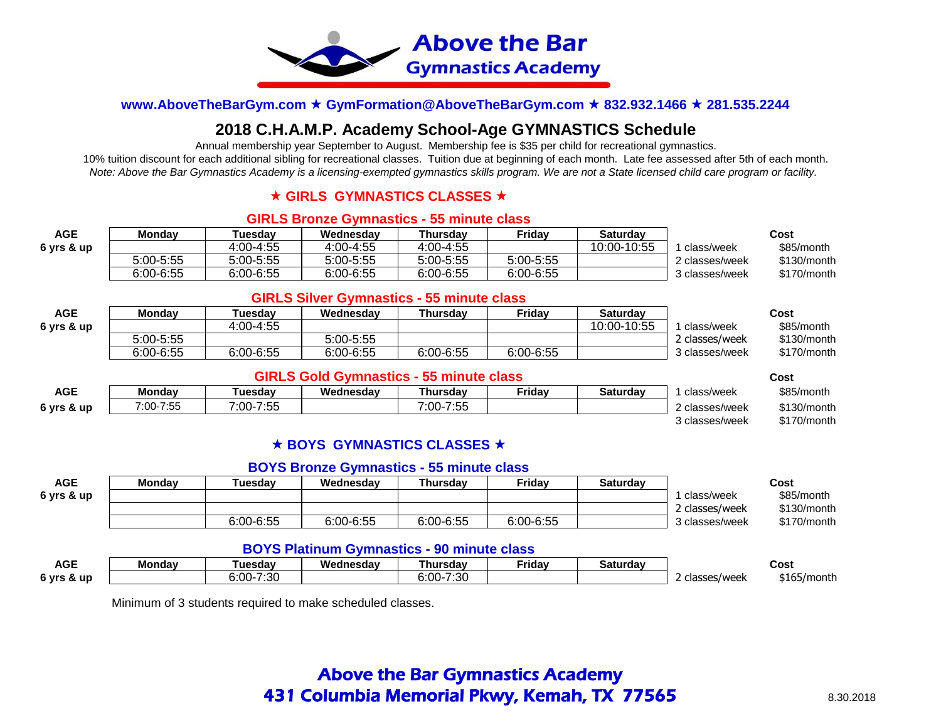

# **2018 C.H.A.M.P. Academy School-Age GYMNASTICS Schedule**

Annual membership year September to August. Membership fee is \$35 per child for recreational gymnastics.

10% tuition discount for each additional sibling for recreational classes. Tuition due at beginning of each month. Late fee assessed after 5th of each month. *Note: Above the Bar Gymnastics Academy is a licensing-exempted gymnastics skills program. We are not a State licensed child care program or facility.* 

# **★ GIRLS GYMNASTICS CLASSES ★**

### **GIRLS Bronze Gymnastics - 55 minute class**

| <b>AGE</b> | Mondav    | <b>Tuesdav</b> | Wednesdav     | Thursdav      | Fridav        | Saturdav    |                | Cost        |
|------------|-----------|----------------|---------------|---------------|---------------|-------------|----------------|-------------|
| 6 yrs & up |           | 4:00-4:55      | 4:00-4:55     | $4:00 - 4:55$ |               | 10:00-10:55 | class/week     | \$85/month  |
|            | 5:00-5:55 | 5:00-5:55      | 5:00-5:55     | 5:00-5:55     | 5:00-5:55     |             | 2 classes/week | \$130/month |
|            | 6:00-6:55 | $6:00 - 6:55$  | $6:00 - 6:55$ | 6:00-6:55     | $6:00 - 6:55$ |             | 3 classes/week | \$170/month |

### **GIRLS Silver Gymnastics - 55 minute class**

| <b>AGE</b> | Mondav    | <b>⊺uesdav</b> | Wednesdav | Thursdav  | Fridav    | Saturdav    |                | Cost        |
|------------|-----------|----------------|-----------|-----------|-----------|-------------|----------------|-------------|
| 6 yrs & up |           | 4:00-4:55      |           |           |           | 10:00-10:55 | class/week     | \$85/month  |
|            | 5:00-5:55 |                | 5:00-5:55 |           |           |             | ? classes/week | \$130/month |
|            | 6:00-6:55 | 6:00-6:55      | 6:00-6:55 | 6:00-6:55 | 6:00-6:55 |             | 3 classes/week | \$170/month |

### **GIRLS Gold Gymnastics - 55 minute class Cost**

| <b>AGE</b> | <b>Monday</b> | ⊺uesdav             | Wednesdav | Thursdav               | <b>Friday</b> | Saturday | class/week     | \$85/month  |
|------------|---------------|---------------------|-----------|------------------------|---------------|----------|----------------|-------------|
| 6 yrs & up | 7:00-7:55     | $-7:55$<br>$7:00-.$ |           | フ・トト<br>$7:00-$<br>.ت. |               |          | 2 classes/week | \$130/month |
|            |               |                     |           |                        |               |          | 3 classes/week | \$170/month |

# **★ BOYS GYMNASTICS CLASSES ★**

### **BOYS Bronze Gymnastics - 55 minute class**

| <b>AGE</b> | Mondav | <b>Tuesdav</b> | Wednesdav | Thursdav  | Fridav        | Saturdav |                | Cost        |
|------------|--------|----------------|-----------|-----------|---------------|----------|----------------|-------------|
| 6 yrs & up |        |                |           |           |               |          | class/week     | \$85/month  |
|            |        |                |           |           |               |          | 2 classes/week | \$130/month |
|            |        | $6:00 - 6:55$  | 6:00-6:55 | 6:00-6:55 | $6:00 - 6:55$ |          | 3 classes/week | \$170/month |

# **BOYS Platinum Gymnastics - 90 minute class**

| <b>AGE</b>                | Mondav | . uesdav             | Wednesdav | ⊺hursdav                                    | $\sim$<br>Fridav | <b>.</b><br>Saturdav |              | Cost            |
|---------------------------|--------|----------------------|-----------|---------------------------------------------|------------------|----------------------|--------------|-----------------|
| <b>ି vrs &amp;</b><br>-up |        | ר?י7<br>3:00<br>טש.ו |           | 7.00<br>.00 <sub>0</sub><br><br>.ou<br>u.uu |                  |                      | classes/week | \$165/<br>montr |

Minimum of 3 students required to make scheduled classes.

# Above the Bar Gymnastics Academy **431 Columbia Memorial Pkwy, Kemah, TX 77565** 8.30.2018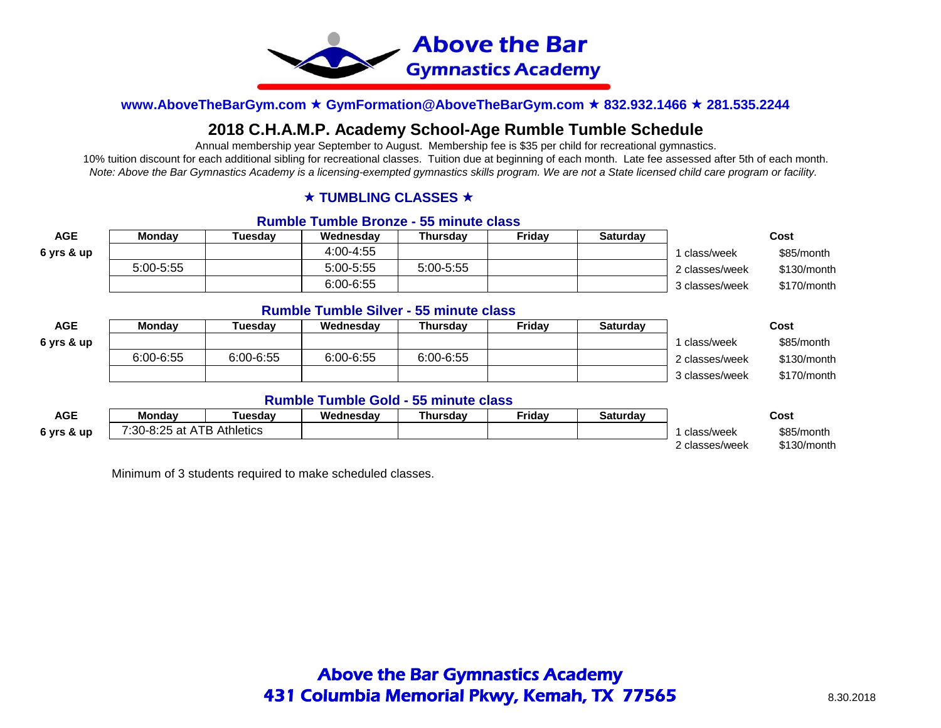

# **2018 C.H.A.M.P. Academy School-Age Rumble Tumble Schedule**

Annual membership year September to August. Membership fee is \$35 per child for recreational gymnastics.

10% tuition discount for each additional sibling for recreational classes. Tuition due at beginning of each month. Late fee assessed after 5th of each month. *Note: Above the Bar Gymnastics Academy is a licensing-exempted gymnastics skills program. We are not a State licensed child care program or facility.* 

### **★ TUMBLING CLASSES ★**

### **Rumble Tumble Bronze - 55 minute class**

| AGE        | <b>Monday</b> | `uesdav | Wednesdav     | Thursdav    | Fridav | <b>Saturday</b> |                | Cost        |
|------------|---------------|---------|---------------|-------------|--------|-----------------|----------------|-------------|
| 6 yrs & up |               |         | 4:00-4:55     |             |        |                 | class/week     | \$85/month  |
|            | $5:00 - 5:55$ |         | $5:00 - 5:55$ | $5:00-5:55$ |        |                 | 2 classes/week | \$130/month |
|            |               |         | 6:00-6:55     |             |        |                 | 3 classes/week | \$170/month |

### **Rumble Tumble Silver - 55 minute class**

| AGE        | <b>Monday</b> | <b>Tuesdav</b> | Wednesdav | Thursdav  | Fridav | Saturdav |                | Cost        |
|------------|---------------|----------------|-----------|-----------|--------|----------|----------------|-------------|
| 6 yrs & up |               |                |           |           |        |          | ' class/week   | \$85/month  |
|            | 6:00-6:55     | 6:00-6:55      | 6:00-6:55 | 6:00-6:55 |        |          | 2 classes/week | \$130/month |
|            |               |                |           |           |        |          | 3 classes/week | \$170/month |

### **Rumble Tumble Gold - 55 minute class**

| AGE        | Mondav                     | ⊺uesdav | Wednesdav | `hursdav | <sup>≂</sup> ridav | Saturdav |              | Cost        |
|------------|----------------------------|---------|-----------|----------|--------------------|----------|--------------|-------------|
| 6 yrs & up | 7:30-8:25 at ATB Athletics |         |           |          |                    |          | class/week   | \$85/month  |
|            |                            |         |           |          |                    |          | classes/week | \$130/month |

Minimum of 3 students required to make scheduled classes.